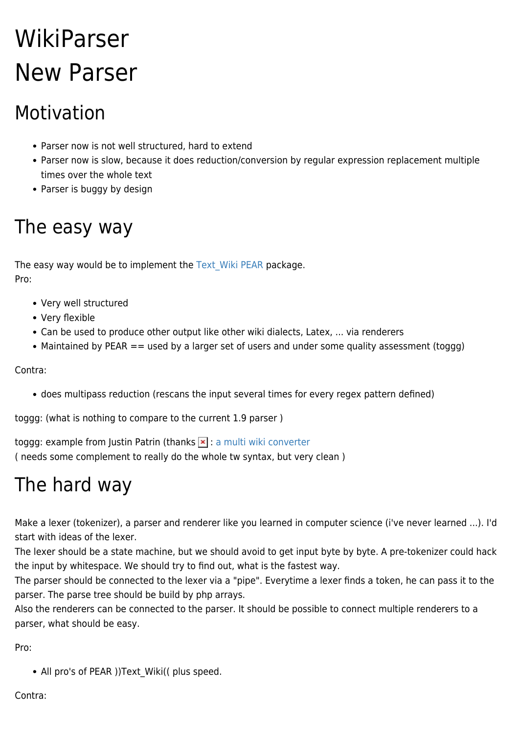## WikiParser New Parser

## Motivation

- Parser now is not well structured, hard to extend
- Parser now is slow, because it does reduction/conversion by regular expression replacement multiple times over the whole text
- Parser is buggy by design

## The easy way

The easy way would be to implement the Text Wiki PEAR package. Pro:

- Very well structured
- Very flexible
- Can be used to produce other output like other wiki dialects, Latex, ... via renderers
- Maintained by PEAR == used by a larger set of users and under some quality assessment (toggg)

Contra:

does multipass reduction (rescans the input several times for every regex pattern defined)

toggg: (what is nothing to compare to the current 1.9 parser )

toggg: example from Justin Patrin (thanks  $\vert \cdot \vert$  : [a multi wiki converter](http://pear.reversefold.com/wiki/index.php) ( needs some complement to really do the whole tw syntax, but very clean )

## The hard way

Make a lexer (tokenizer), a parser and renderer like you learned in computer science (i've never learned ...). I'd start with ideas of the lexer.

The lexer should be a state machine, but we should avoid to get input byte by byte. A pre-tokenizer could hack the input by whitespace. We should try to find out, what is the fastest way.

The parser should be connected to the lexer via a "pipe". Everytime a lexer finds a token, he can pass it to the parser. The parse tree should be build by php arrays.

Also the renderers can be connected to the parser. It should be possible to connect multiple renderers to a parser, what should be easy.

Pro:

• All pro's of PEAR ))Text\_Wiki(( plus speed.

Contra: